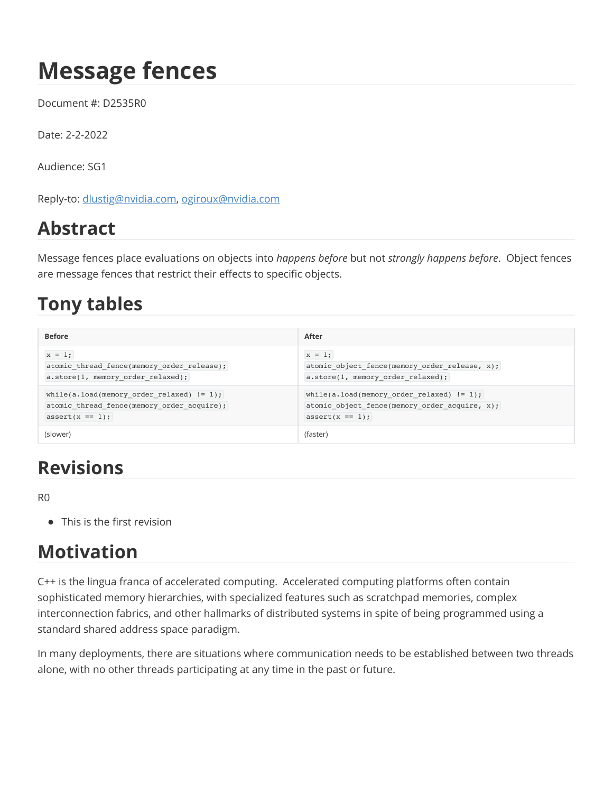# **Message fences**

Document #: D2535R0

Date: 2-2-2022

Audience: SG1

Reply-to: [dlustig@nvidia.com](mailto:dlustig@nvidia.com), [ogiroux@nvidia.com](mailto:ogiroux@nvidia.com)

### **Abstract**

Message fences place evaluations on objects into *happens before* but not *strongly happens before*. Object fences are message fences that restrict their effects to specific objects.

### **Tony tables**

| <b>Before</b>                                | After                                         |
|----------------------------------------------|-----------------------------------------------|
| $x = 1;$                                     | $x = 1;$                                      |
| atomic thread fence(memory order release);   | atomic object fence(memory order release, x); |
| a.store(1, memory order relaxed);            | a.store(1, memory order relaxed);             |
| while(a.load(memory order relaxed) $!= 1$ ); | while(a.load(memory order relaxed) $!= 1$ );  |
| atomic thread fence(memory order acquire);   | atomic object fence(memory order acquire, x); |
| $assert(x == 1);$                            | $assert(x == 1);$                             |
| (slower)                                     | (faster)                                      |

### **Revisions**

R0

• This is the first revision

### **Motivation**

C++ is the lingua franca of accelerated computing. Accelerated computing platforms often contain sophisticated memory hierarchies, with specialized features such as scratchpad memories, complex interconnection fabrics, and other hallmarks of distributed systems in spite of being programmed using a standard shared address space paradigm.

In many deployments, there are situations where communication needs to be established between two threads alone, with no other threads participating at any time in the past or future.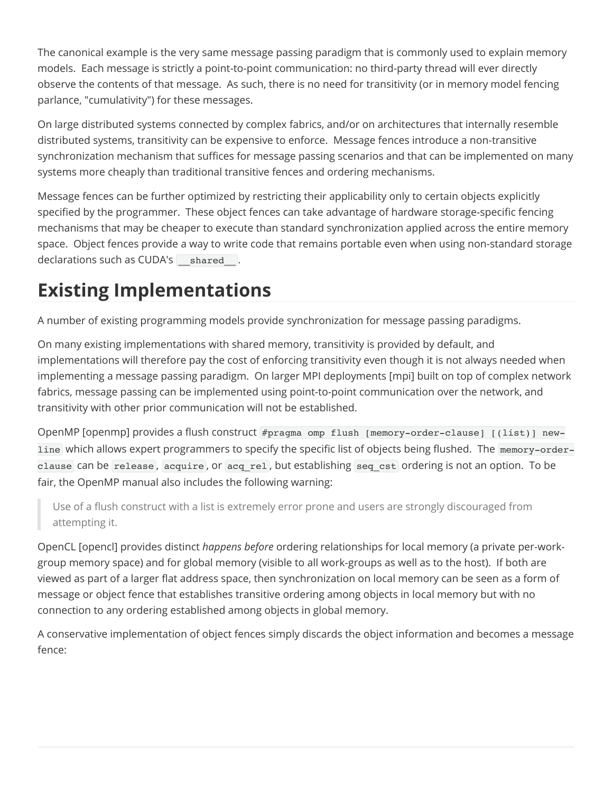The canonical example is the very same message passing paradigm that is commonly used to explain memory models. Each message is strictly a point-to-point communication: no third-party thread will ever directly observe the contents of that message. As such, there is no need for transitivity (or in memory model fencing parlance, "cumulativity") for these messages.

On large distributed systems connected by complex fabrics, and/or on architectures that internally resemble distributed systems, transitivity can be expensive to enforce. Message fences introduce a non-transitive synchronization mechanism that suffices for message passing scenarios and that can be implemented on many systems more cheaply than traditional transitive fences and ordering mechanisms.

Message fences can be further optimized by restricting their applicability only to certain objects explicitly specified by the programmer. These object fences can take advantage of hardware storage-specific fencing mechanisms that may be cheaper to execute than standard synchronization applied across the entire memory space. Object fences provide a way to write code that remains portable even when using non-standard storage declarations such as CUDA's shared.

### **Existing Implementations**

A number of existing programming models provide synchronization for message passing paradigms.

On many existing implementations with shared memory, transitivity is provided by default, and implementations will therefore pay the cost of enforcing transitivity even though it is not always needed when implementing a message passing paradigm. On larger MPI deployments [mpi] built on top of complex network fabrics, message passing can be implemented using point-to-point communication over the network, and transitivity with other prior communication will not be established.

OpenMP [openmp] provides a flush construct #pragma omp flush [memory-order-clause] [(list)] newline which allows expert programmers to specify the specific list of objects being flushed. The memory-orderclause can be release, acquire, or acq\_rel, but establishing seq cst ordering is not an option. To be fair, the OpenMP manual also includes the following warning:

Use of a flush construct with a list is extremely error prone and users are strongly discouraged from attempting it.

OpenCL [opencl] provides distinct *happens before* ordering relationships for local memory (a private per-workgroup memory space) and for global memory (visible to all work-groups as well as to the host). If both are viewed as part of a larger flat address space, then synchronization on local memory can be seen as a form of message or object fence that establishes transitive ordering among objects in local memory but with no connection to any ordering established among objects in global memory.

A conservative implementation of object fences simply discards the object information and becomes a message fence: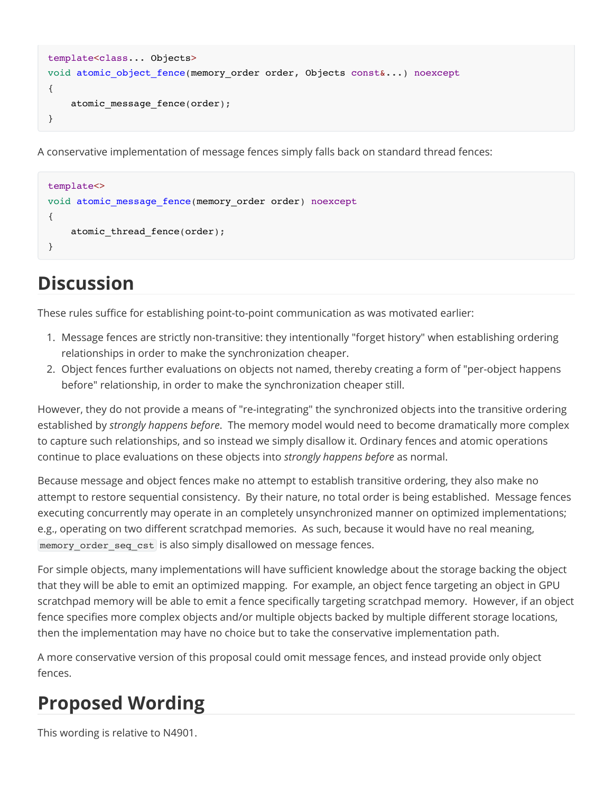```
template<class... Objects>
void atomic object fence(memory order order, Objects const&...) noexcept
{
     atomic_message_fence(order);
}
```
A conservative implementation of message fences simply falls back on standard thread fences:

```
template<>
void atomic message fence(memory order order) noexcept
{
     atomic_thread_fence(order);
}
```
# **Discussion**

These rules suffice for establishing point-to-point communication as was motivated earlier:

- 1. Message fences are strictly non-transitive: they intentionally "forget history" when establishing ordering relationships in order to make the synchronization cheaper.
- 2. Object fences further evaluations on objects not named, thereby creating a form of "per-object happens before" relationship, in order to make the synchronization cheaper still.

However, they do not provide a means of "re-integrating" the synchronized objects into the transitive ordering established by *strongly happens before*. The memory model would need to become dramatically more complex to capture such relationships, and so instead we simply disallow it. Ordinary fences and atomic operations continue to place evaluations on these objects into *strongly happens before* as normal.

Because message and object fences make no attempt to establish transitive ordering, they also make no attempt to restore sequential consistency. By their nature, no total order is being established. Message fences executing concurrently may operate in an completely unsynchronized manner on optimized implementations; e.g., operating on two different scratchpad memories. As such, because it would have no real meaning, memory order seq cst is also simply disallowed on message fences.

For simple objects, many implementations will have sufficient knowledge about the storage backing the object that they will be able to emit an optimized mapping. For example, an object fence targeting an object in GPU scratchpad memory will be able to emit a fence specifically targeting scratchpad memory. However, if an object fence specifies more complex objects and/or multiple objects backed by multiple different storage locations, then the implementation may have no choice but to take the conservative implementation path.

A more conservative version of this proposal could omit message fences, and instead provide only object fences.

## **Proposed Wording**

This wording is relative to N4901.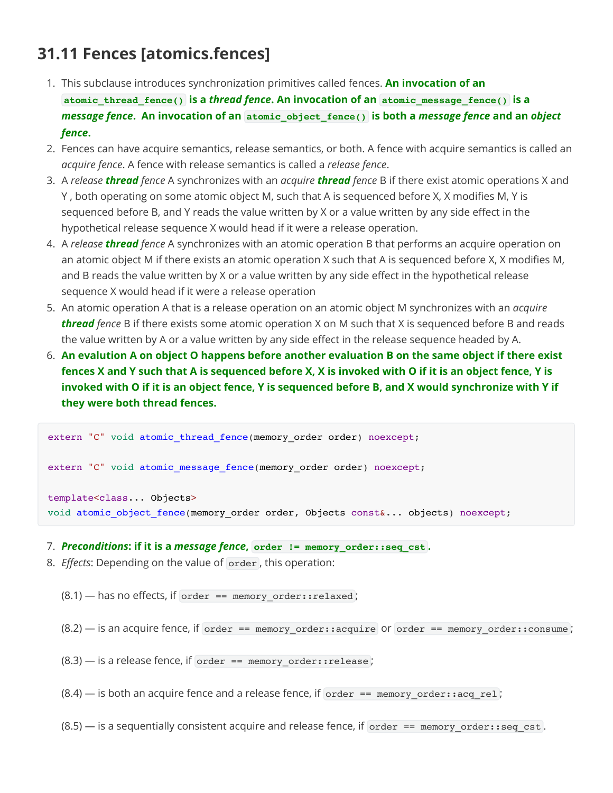#### **31.11 Fences [atomics.fences]**

- 1. This subclause introduces synchronization primitives called fences. **An invocation of an atomic\_thread\_fence() is a** *thread fence***. An invocation of an atomic\_message\_fence() is a** *message fence***. An invocation of an atomic\_object\_fence() is both a** *message fence* **and an** *object fence***.**
- 2. Fences can have acquire semantics, release semantics, or both. A fence with acquire semantics is called an *acquire fence*. A fence with release semantics is called a *release fence*.
- 3. A *release thread fence* A synchronizes with an *acquire thread fence* B if there exist atomic operations X and Y , both operating on some atomic object M, such that A is sequenced before X, X modifies M, Y is sequenced before B, and Y reads the value written by X or a value written by any side effect in the hypothetical release sequence X would head if it were a release operation.
- 4. A *release thread fence* A synchronizes with an atomic operation B that performs an acquire operation on an atomic object M if there exists an atomic operation X such that A is sequenced before X, X modifies M, and B reads the value written by X or a value written by any side effect in the hypothetical release sequence X would head if it were a release operation
- 5. An atomic operation A that is a release operation on an atomic object M synchronizes with an *acquire thread fence* B if there exists some atomic operation X on M such that X is sequenced before B and reads the value written by A or a value written by any side effect in the release sequence headed by A.
- 6. **An evalution A on object O happens before another evaluation B on the same object if there exist fences X and Y such that A is sequenced before X, X is invoked with O if it is an object fence, Y is invoked with O if it is an object fence, Y is sequenced before B, and X would synchronize with Y if they were both thread fences.**

```
extern "C" void atomic thread fence(memory order order) noexcept;
extern "C" void atomic message fence(memory order order) noexcept;
template<class... Objects>
void atomic object fence(memory order order, Objects const&... objects) noexcept;
```
- 7. *Preconditions***: if it is a** *message fence***, order != memory\_order::seq\_cst .**
- 8. *Effects*: Depending on the value of order , this operation:
	- $(8.1)$  has no effects, if order == memory\_order::relaxed;
	- $(8.2)$  is an acquire fence, if order == memory order::acquire or order == memory order::consume;
	- $(8.3)$  is a release fence, if order == memory order::release;
	- $(8.4)$  is both an acquire fence and a release fence, if order == memory order::acq rel;
	- $(8.5)$  is a sequentially consistent acquire and release fence, if order == memory\_order::seq\_cst.